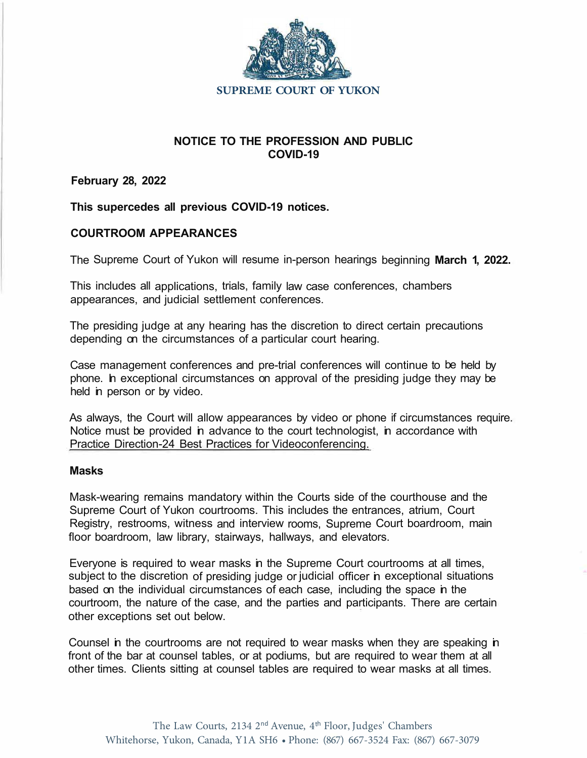

# **NOTICE TO THE PROFESSION AND PUBLIC COVID-19**

**February 28, 2022** 

**This supercedes all previous COVID-19 notices.** 

# **COURTROOM APPEARANCES**

The Supreme Court of Yukon will resume in-person hearings beginning **March 1, 2022.** 

This includes all applications, trials, family law case conferences, chambers appearances, and judicial settlement conferences.

The presiding judge at any hearing has the discretion to direct certain precautions depending on the circumstances of a particular court hearing.

Case management conferences and pre-trial conferences will continue to be held by phone. In exceptional circumstances on approval of the presiding judge they may be held in person or by video.

As always, the Court will allow appearances by video or phone if circumstances require. Notice must be provided in advance to the court technologist, in accordance with [Practice Direction-24 Best Practices for Videoconferencing](https://www.yukoncourts.ca/sites/default/files/2021-09/General-%2024%20Best%20practices%20video%20conferencing.pdf).

## **Masks**

Mask-wearing remains mandatory within the Courts side of the courthouse and the Supreme Court of Yukon courtrooms. This includes the entrances, atrium, Court Registry, restrooms, witness and interview rooms, Supreme Court boardroom, main floor boardroom, law library, stairways, hallways, and elevators.

Everyone is required to wear masks in the Supreme Court courtrooms at all times, subject to the discretion of presiding judge or judicial officer in exceptional situations based on the individual circumstances of each case, including the space in the courtroom, the nature of the case, and the parties and participants. There are certain other exceptions set out below.

Counsel in the courtrooms are not required to wear masks when they are speaking in front of the bar at counsel tables, or at podiums, but are required to wear them at all other times. Clients sitting at counsel tables are required to wear masks at all times.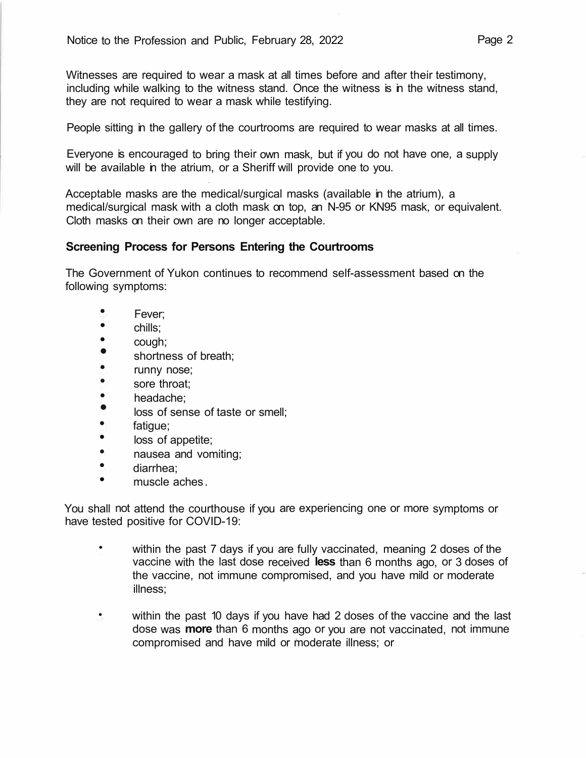Witnesses are required to wear a mask at all times before and after their testimony, including while walking to the witness stand. Once the witness is in the witness stand, they are not required to wear a mask while testifying.

People sitting in the gallery of the courtrooms are required to wear masks at all times.

Everyone is encouraged to bring their own mask, but if you do not have one, a supply will be available in the atrium, or a Sheriff will provide one to you.

Acceptable masks are the medical/surgical masks (available in the atrium), a medical/surgical mask with a cloth mask on top, an N-95 or KN95 mask, or equivalent. Cloth masks on their own are no longer acceptable.

# **Screening Process for Persons Entering the Courtrooms**

The Government of Yukon continues to recommend self-assessment based on the following symptoms:

- Fever;<br>• chille:
- $\overline{\phantom{a}}^{\text{chills}}$
- cough;<br>• chortes
- shortness of breath;<br>•  $\Box$  runny nose;
- 
- runny nose;<br>• sore throat:
- sore throat;<br>• headache: • headache;<br>• less of son
- loss of sense of taste or smell;<br>•  $f_{\text{atomic}}$
- fatigue;<br>• loss of a
- loss of appetite;<br>• **pauses and von**
- nausea and vomiting;
- diarrhea;
- muscle aches.

You shall not attend the courthouse if you are experiencing one or more symptoms or have tested positive for COVID-19:

- within the past 7 days if you are fully vaccinated, meaning 2 doses of the vaccine with the last dose received **less** than 6 months ago, or 3 doses of the vaccine, not immune compromised, and you have mild or moderate illness;
- within the past 10 days if you have had 2 doses of the vaccine and the last dose was **more** than 6 months ago or you are not vaccinated, not immune compromised and have mild or moderate illness; or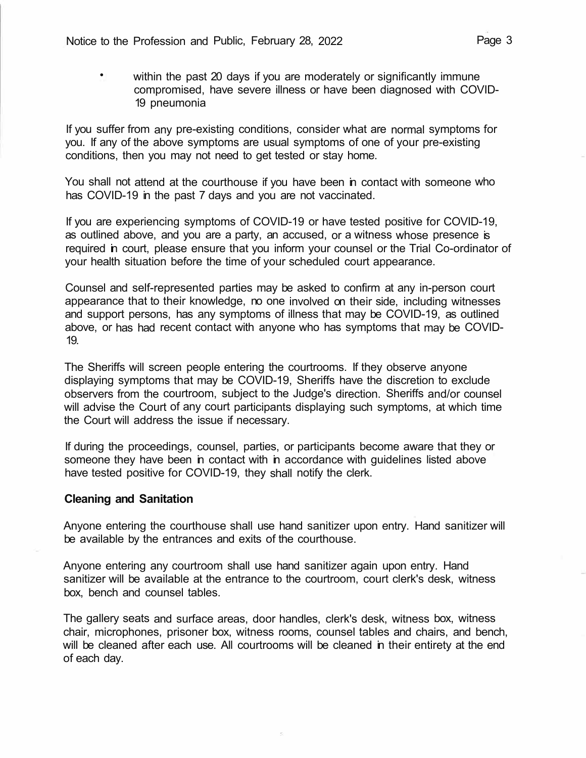• within the past 20 days if you are moderately or significantly immune compromised, have severe illness or have been diagnosed with COVID-19 pneumonia

If you suffer from any pre-existing conditions, consider what are normal symptoms for you. If any of the above symptoms are usual symptoms of one of your pre-existing conditions, then you may not need to get tested or stay home.

You shall not attend at the courthouse if you have been in contact with someone who has COVID-19 in the past 7 days and you are not vaccinated.

If you are experiencing symptoms of COVID-19 or have tested positive for COVID-19, as outlined above, and you are a party, an accused, or a witness whose presence is required in court, please ensure that you inform your counsel or the Trial Co-ordinator of your health situation before the time of your scheduled court appearance.

Counsel and self-represented parties may be asked to confirm at any in-person court appearance that to their knowledge, no one involved on their side, including witnesses and support persons, has any symptoms of illness that may be COVID-19, as outlined above, or has had recent contact with anyone who has symptoms that may be COVID-19.

The Sheriffs will screen people entering the courtrooms. If they observe anyone displaying symptoms that may be COVID-19, Sheriffs have the discretion to exclude observers from the courtroom, subject to the Judge's direction. Sheriffs and/or counsel will advise the Court of any court participants displaying such symptoms, at which time the Court will address the issue if necessary.

If during the proceedings, counsel, parties, or participants become aware that they or someone they have been in contact with in accordance with guidelines listed above have tested positive for COVID-19, they shall notify the clerk.

#### **Cleaning and Sanitation**

Anyone entering the courthouse shall use hand sanitizer upon entry. Hand sanitizer will be available by the entrances and exits of the courthouse.

Anyone entering any courtroom shall use hand sanitizer again upon entry. Hand sanitizer will be available at the entrance to the courtroom, court clerk's desk, witness box, bench and counsel tables.

The gallery seats and surface areas, door handles, clerk's desk, witness box, witness chair, microphones, prisoner box, witness rooms, counsel tables and chairs, and bench, will be cleaned after each use. All courtrooms will be cleaned in their entirety at the end of each day.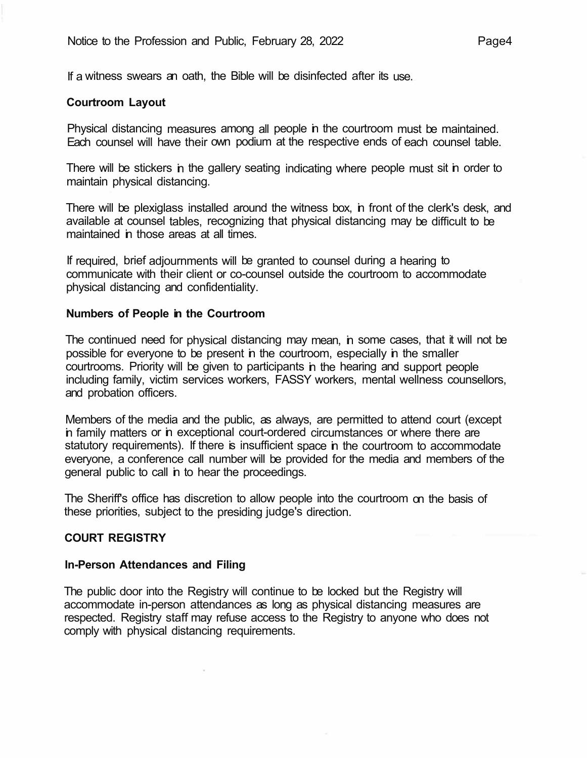If a witness swears an oath, the Bible will be disinfected after its use.

## **Courtroom Layout**

Physical distancing measures among all people in the courtroom must be maintained. Each counsel will have their own podium at the respective ends of each counsel table.

There will be stickers in the gallery seating indicating where people must sit in order to maintain physical distancing.

There will be plexiglass installed around the witness box, in front of the clerk's desk, and available at counsel tables, recognizing that physical distancing may be difficult to be maintained in those areas at all times.

If required, brief adjournments will be granted to counsel during a hearing to communicate with their client or co-counsel outside the courtroom to accommodate physical distancing and confidentiality.

#### **Numbers of People in the Courtroom**

The continued need for physical distancing may mean, in some cases, that it will not be possible for everyone to be present in the courtroom, especially in the smaller courtrooms. Priority will be given to participants in the hearing and support people including family, victim services workers, FASSY workers, mental wellness counsellors, and probation officers.

Members of the media and the public, as always, are permitted to attend court (except in family matters or in exceptional court-ordered circumstances or where there are statutory requirements). If there is insufficient space in the courtroom to accommodate everyone, a conference call number will be provided for the media and members of the general public to call in to hear the proceedings.

The Sheriff's office has discretion to allow people into the courtroom on the basis of these priorities, subject to the presiding judge's direction.

## **COURT REGISTRY**

#### **In-Person Attendances and Filing**

The public door into the Registry will continue to be locked but the Registry will accommodate in-person attendances as long as physical distancing measures are respected. Registry staff may refuse access to the Registry to anyone who does not comply with physical distancing requirements.